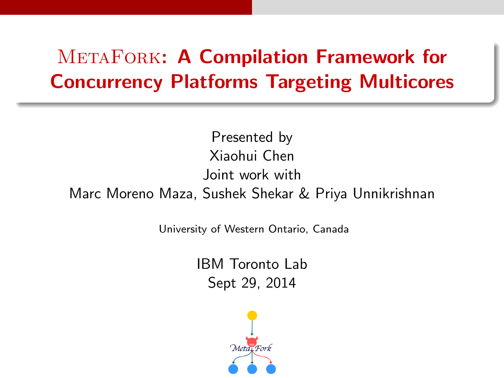# **METAFORK: A Compilation Framework for** Concurrency Platforms Targeting Multicores

Presented by Xiaohui Chen Joint work with Marc Moreno Maza, Sushek Shekar & Priya Unnikrishnan

University of Western Ontario, Canada

IBM Toronto Lab Sept 29, 2014

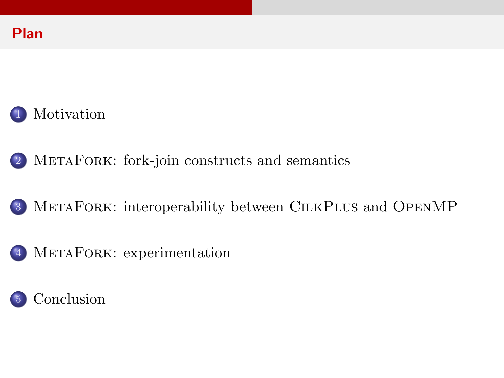

MetaFork[: fork-join constructs and semantics](#page-6-0)

MetaFork[: interoperability between](#page-15-0) CilkPlus and OpenMP

MetaFork[: experimentation](#page-19-0)

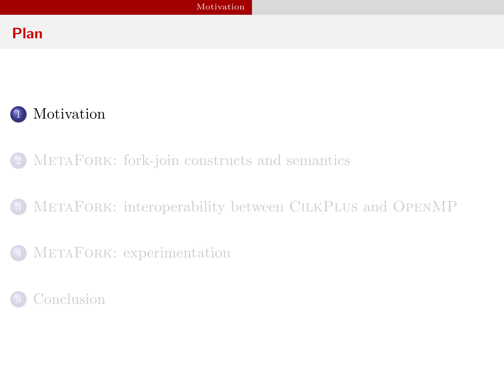# Plan



- METAFORK[: fork-join constructs and semantics](#page-6-0)
- METAFORK[: interoperability between](#page-15-0) CILKPLUS and OPENMP
- METAFORK[: experimentation](#page-19-0)

<span id="page-2-0"></span>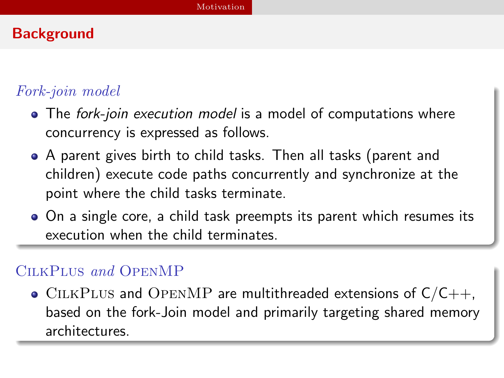# **Background**

# Fork-join model

- The fork-join execution model is a model of computations where concurrency is expressed as follows.
- A parent gives birth to child tasks. Then all tasks (parent and children) execute code paths concurrently and synchronize at the point where the child tasks terminate.
- On a single core, a child task preempts its parent which resumes its execution when the child terminates.

### CilkPlus and OpenMP

<span id="page-3-0"></span> $\bullet$  CILKPLUS and OPENMP are multithreaded extensions of C/C++, based on the fork-Join model and primarily targeting shared memory architectures.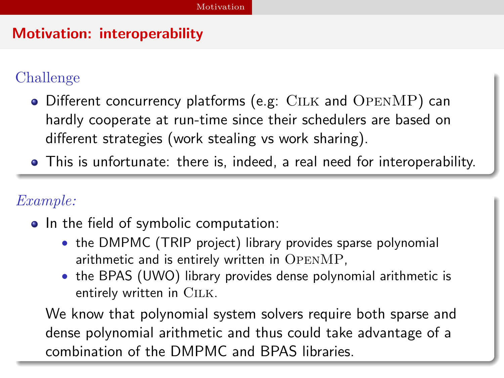# Motivation: interoperability

# Challenge

- Different concurrency platforms (e.g: CILK and OPENMP) can hardly cooperate at run-time since their schedulers are based on different strategies (work stealing vs work sharing).
- This is unfortunate: there is, indeed, a real need for interoperability.

### Example:

- In the field of symbolic computation:
	- the DMPMC (TRIP project) library provides sparse polynomial arithmetic and is entirely written in OpenMP,
	- the BPAS (UWO) library provides dense polynomial arithmetic is entirely written in CILK.

<span id="page-4-0"></span>We know that polynomial system solvers require both sparse and dense polynomial arithmetic and thus could take advantage of a combination of the DMPMC and BPAS libraries.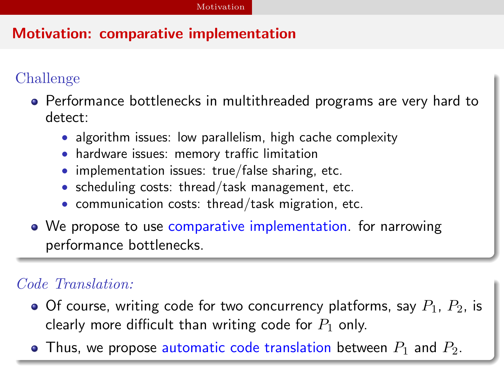# Motivation: comparative implementation

# Challenge

- Performance bottlenecks in multithreaded programs are very hard to detect:
	- algorithm issues: low parallelism, high cache complexity
	- hardware issues: memory traffic limitation
	- implementation issues: true/false sharing, etc.
	- scheduling costs: thread/task management, etc.
	- communication costs: thread/task migration, etc.
- We propose to use comparative implementation. for narrowing performance bottlenecks.

# Code Translation:

- $\bullet$  Of course, writing code for two concurrency platforms, say  $P_1$ ,  $P_2$ , is clearly more difficult than writing code for  $P_1$  only.
- <span id="page-5-0"></span>• Thus, we propose automatic code translation between  $P_1$  and  $P_2$ .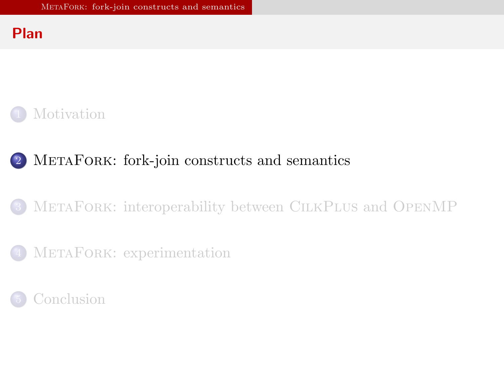### Plan



# <sup>2</sup> MetaFork[: fork-join constructs and semantics](#page-6-0)

### METAFORK[: interoperability between](#page-15-0) CILKPLUS and OPENMP

### METAFORK[: experimentation](#page-19-0)

<span id="page-6-0"></span>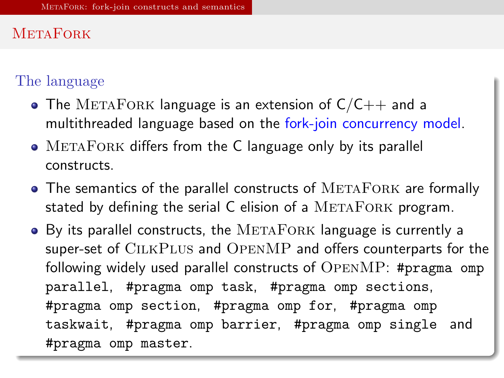### **METAFORK**

### The language

- The METAFORK language is an extension of  $C/C++$  and a multithreaded language based on the fork-join concurrency model.
- METAFORK differs from the C language only by its parallel constructs.
- The semantics of the parallel constructs of METAFORK are formally stated by defining the serial  $C$  elision of a  $METAFORK$  program.
- <span id="page-7-0"></span> $\bullet$  By its parallel constructs, the METAFORK language is currently a super-set of CilkPlus and OpenMP and offers counterparts for the following widely used parallel constructs of OpenMP: #pragma omp parallel, #pragma omp task, #pragma omp sections, #pragma omp section, #pragma omp for, #pragma omp taskwait, #pragma omp barrier, #pragma omp single and #pragma omp master.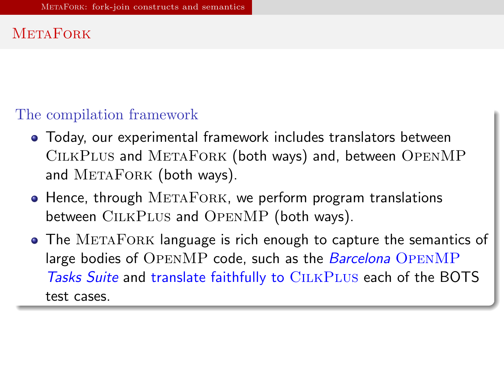# **METAFORK**

### The compilation framework

- Today, our experimental framework includes translators between CilkPlus and MetaFork (both ways) and, between OpenMP and METAFORK (both ways).
- $\bullet$  Hence, through METAFORK, we perform program translations between CILKPLUS and OPENMP (both ways).
- <span id="page-8-0"></span>• The METAFORK language is rich enough to capture the semantics of large bodies of OPENMP code, such as the *Barcelona* OPENMP Tasks Suite and translate faithfully to CILKPLUS each of the BOTS test cases.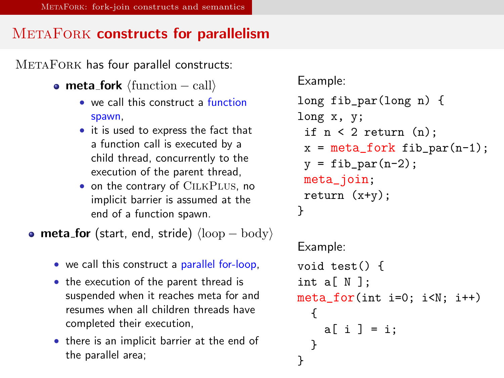### METAFORK constructs for parallelism

METAFORK has four parallel constructs:

- meta\_fork  $\langle$  function − call $\rangle$ 
	- we call this construct a function spawn,
	- it is used to express the fact that a function call is executed by a child thread, concurrently to the execution of the parent thread,
	- on the contrary of CILKPLUS, no implicit barrier is assumed at the end of a function spawn.

• meta\_for (start, end, stride)  $\langle \text{loop} - \text{body} \rangle$ 

- we call this construct a parallel for-loop,
- the execution of the parent thread is suspended when it reaches meta for and resumes when all children threads have completed their execution,
- <span id="page-9-0"></span>• there is an implicit barrier at the end of the parallel area;

```
Example:
long fib_par(long n) {
long x, y;
 if n < 2 return (n):
 x = meta_fork fib_par(n-1);y = \text{fib\_par}(n-2);
 meta_join;
 return (x+y);
}
Example:
void test() {
int a[ N ];
meta_for(int i=0; i<N; i++)
  {
    a[i] = i;}
}
```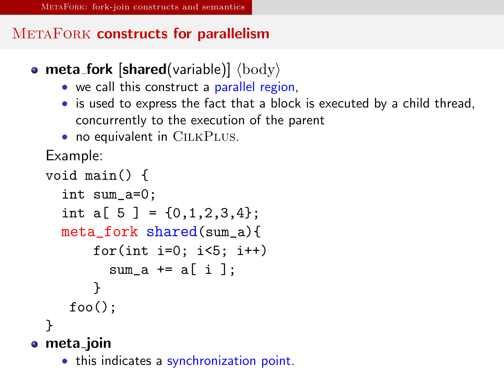# METAFORK constructs for parallelism

- meta\_fork [shared(variable)]  $\langle \text{body} \rangle$ 
	- we call this construct a parallel region,
	- is used to express the fact that a block is executed by a child thread, concurrently to the execution of the parent
	- no equivalent in CILKPLUS.

Example:

```
void main() {
    int sum_a=0;
    int a[ 5 ] = \{0.1, 2.3, 4\}:
    meta_fork shared(sum_a){
        for(int i=0; i < 5; i++)sum a \neq a[i]:
        }
     foo():
  }
• meta_join
```
<span id="page-10-0"></span>• this indicates a synchronization point.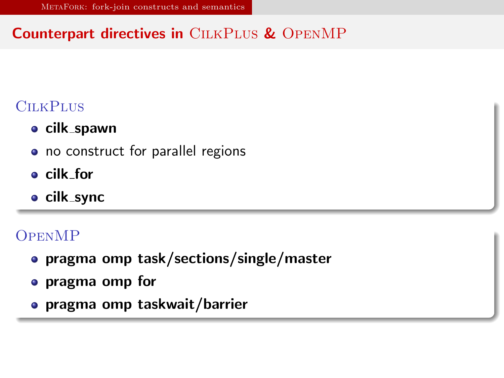# Counterpart directives in CILKPLUS & OPENMP

# **CILKPLUS**

- **•** cilk\_spawn
- no construct for parallel regions
- cilk for
- o cilk\_sync

# **OPENMP**

- pragma omp task/sections/single/master
- pragma omp for
- <span id="page-11-0"></span>pragma omp taskwait/barrier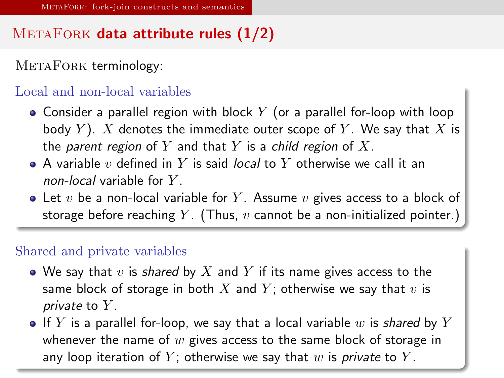# $METAFORK$  data attribute rules  $(1/2)$

METAFORK terminology:

#### Local and non-local variables

- Consider a parallel region with block  $Y$  (or a parallel for-loop with loop body Y). X denotes the immediate outer scope of Y. We say that X is the parent region of Y and that Y is a child region of X.
- $\bullet$  A variable v defined in Y is said *local* to Y otherwise we call it an non-local variable for  $Y$ .
- Let  $v$  be a non-local variable for  $Y$ . Assume  $v$  gives access to a block of storage before reaching Y. (Thus,  $v$  cannot be a non-initialized pointer.)

#### Shared and private variables

- We say that v is shared by X and Y if its name gives access to the same block of storage in both  $X$  and  $Y$ ; otherwise we say that  $v$  is private to  $Y$ .
- <span id="page-12-0"></span>If Y is a parallel for-loop, we say that a local variable w is shared by Y whenever the name of  $w$  gives access to the same block of storage in any loop iteration of Y; otherwise we say that w is private to Y.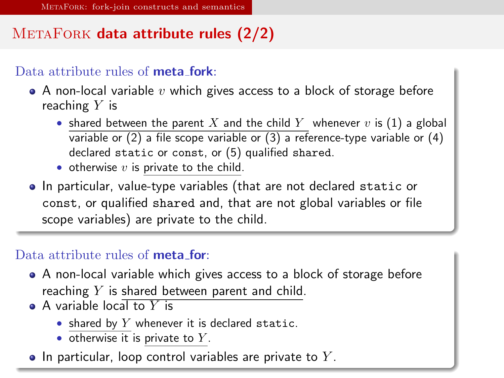# $METAFORK$  data attribute rules  $(2/2)$

#### Data attribute rules of **meta fork**:

- $\bullet$  A non-local variable v which gives access to a block of storage before reaching  $Y$  is
	- shared between the parent X and the child Y whenever v is (1) a global variable or (2) a file scope variable or (3) a reference-type variable or (4) declared static or const, or (5) qualified shared.
	- otherwise  $v$  is private to the child.
- In particular, value-type variables (that are not declared static or const, or qualified shared and, that are not global variables or file scope variables) are private to the child.

#### Data attribute rules of **meta for**:

- A non-local variable which gives access to a block of storage before reaching  $Y$  is shared between parent and child.
- $\bullet$  A variable local to Y is
	- shared by  $Y$  whenever it is declared static.
	- $\bullet$  otherwise it is private to Y.
- <span id="page-13-0"></span> $\bullet$  In particular, loop control variables are private to Y.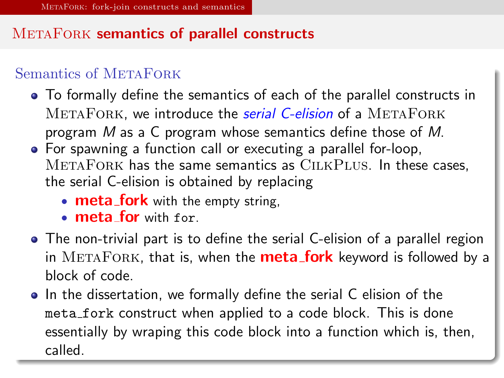# METAFORK semantics of parallel constructs

### Semantics of METAFORK

- To formally define the semantics of each of the parallel constructs in METAFORK, we introduce the *serial C-elision* of a METAFORK program M as a C program whose semantics define those of M.
- For spawning a function call or executing a parallel for-loop, MetaFork has the same semantics as CilkPlus. In these cases, the serial C-elision is obtained by replacing
	- **meta\_fork** with the empty string,
	- meta for with for.
- The non-trivial part is to define the serial C-elision of a parallel region in  $METAFORK$ , that is, when the **meta\_fork** keyword is followed by a block of code.
- <span id="page-14-0"></span>• In the dissertation, we formally define the serial C elision of the meta\_fork construct when applied to a code block. This is done essentially by wraping this code block into a function which is, then, called.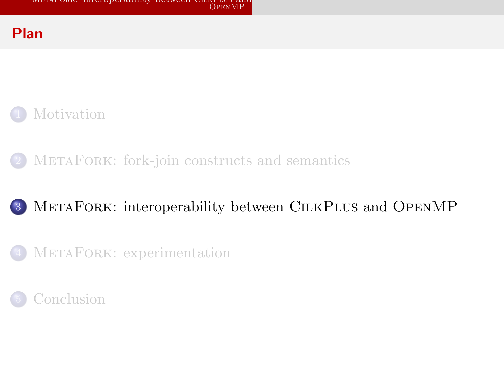### Plan



METAFORK[: fork-join constructs and semantics](#page-6-0)

# <sup>3</sup> MetaFork[: interoperability between](#page-15-0) CilkPlus and OpenMP

METAFORK[: experimentation](#page-19-0)

<span id="page-15-0"></span>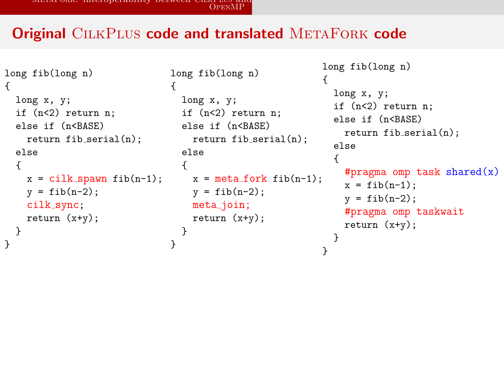### **Original CILKPLUS code and translated METAFORK code**

```
long fib(long n)
{
  long x, y;
  if (n<2) return n;
  else if (n<BASE)
    return fib\_serial(n);
  else
  {
    x = cilk_spawn fib(n-1);y = fib(n-2);
    cilk_sync;
    return (x+y);
 }
}
```

```
long fib(long n)
{
 long x, y;
if (n<2) return n;
else if (n<BASE)
  return fib_serial(n);
  else
  {
x = meta_fork fib(n-1);y = fib(n-2);
    meta_join;
   return (x+y);
  }
}
                          {
                          }
```

```
long fib(long n)
 long x, y;
 if (n<2) return n;
 else if (n<BASE)
   return fib serial(n);
 else
  {
   #pragma omp task shared(x)x = fib(n-1);y = fib(n-2);#pragma omp taskwait
   return (x+y);
 }
```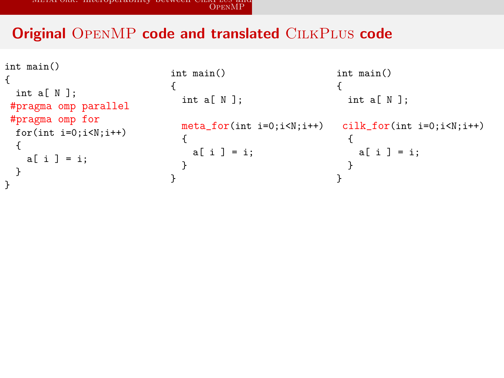### Original OPENMP code and translated CILKPLUS code

```
int main()
{
 int a[ N ];
#pragma omp parallel
#pragma omp for
 for(int i=0; i\le N; i++){
   a[ i ] = i;
 }
}
                             int main()
                             {
                               int a[ N ];
                                meta_for(int i=0;i<N;i++)
cilk_for(int i=0;i<N;i++)
                               {
                                 a[i] = i;}
                             }
                                                           int main()
                                                           {
                                                             int a[ N ];
                                                             {
                                                              a[i] = i:
                                                             }
                                                           }
```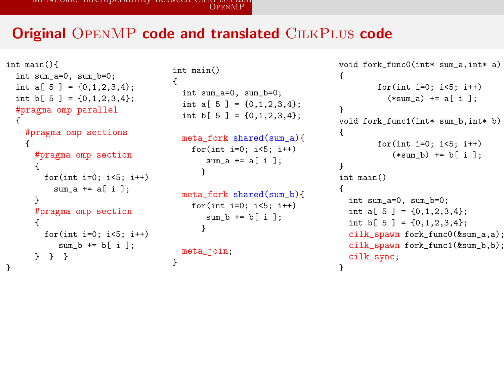METAFORK[: interoperability between](#page-18-0) CILKI E03 and<br>[OpenMP](#page-18-0)

### **Original OPENMP code and translated CILKPLUS code**

<span id="page-18-0"></span>}

```
int main(){
  int sum_a=0, sum_b=0;
  int a[ 5 ] = \{0,1,2,3,4\};
  int b[ 5 ] = \{0,1,2,3,4\};#pragma omp parallel
  {
    #pragma omp sections
    {
      #pragma omp section
      {
        for(int i=0; i<5; i++)sum a \neq a i ];
      }
      #pragma omp section
      {
        for(int i=0: i<5: i++)
           sum b \neq b[ i ];
      } } }
}
```

```
int main()
{
  int sum_a=0, sum_b=0;
  int a[ 5 ] = \{0,1,2,3,4\};
  int b[ 5 ] = \{0,1,2,3,4\};
```

```
meta_fork shared(sum_a){
  for(int i=0; i<5; i++)
     sum a \neq a i \exists:
    }
```

```
meta_fork shared(sum_b){
  for(int i=0; i<5; i++)
     sum b \leftarrow b[ i ];
    }
meta_join;
```

```
void fork func0(int* sum a.int* a)
{
        for(int i=0; i<5; i++)
          (**sum a) += a[i]:
}
void fork func1(int* sum b.int* b)
{
        for(int i=0; i<5; i++)
           (*sum_b) += b[i];}
int main()
{
  int sum_a=0, sum_b=0;
  int a[ 5 ] = \{0.1, 2.3, 4\};
  int b[ 5 ] = \{0,1,2,3,4\};cilk_spawn fork_func0(&sum_a,a);
  cilk spawn fork func1(ksum b.b);
 cilk_sync;
}
```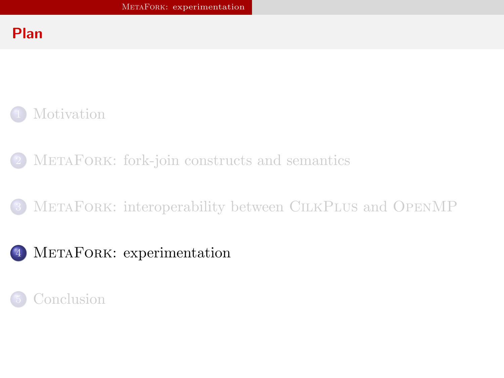### Plan



- METAFORK[: fork-join constructs and semantics](#page-6-0)
- METAFORK[: interoperability between](#page-15-0) CILKPLUS and OPENMP
- <sup>4</sup> MetaFork[: experimentation](#page-19-0)

<span id="page-19-0"></span>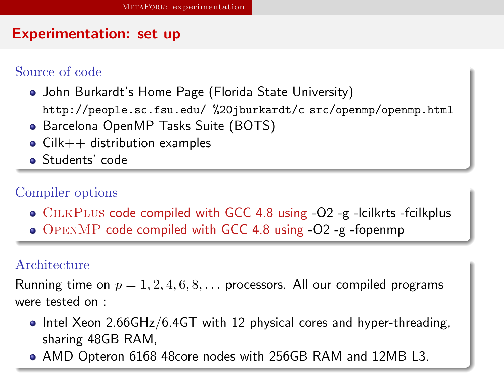### Experimentation: set up

### Source of code

- John Burkardt's Home Page (Florida State University) http://people.sc.fsu.edu/ %20jburkardt/c src/openmp/openmp.html
- Barcelona OpenMP Tasks Suite (BOTS)
- $\bullet$  Cilk $++$  distribution examples
- Students' code

### Compiler options

- CILKPLUS code compiled with GCC 4.8 using -O2 -g -lcilkrts -fcilkplus
- OpenMP code compiled with GCC 4.8 using -O2 -g -fopenmp

#### Architecture

Running time on  $p = 1, 2, 4, 6, 8, \ldots$  processors. All our compiled programs were tested on :

- $\bullet$  Intel Xeon 2.66GHz/6.4GT with 12 physical cores and hyper-threading, sharing 48GB RAM,
- <span id="page-20-0"></span>AMD Opteron 6168 48core nodes with 256GB RAM and 12MB L3.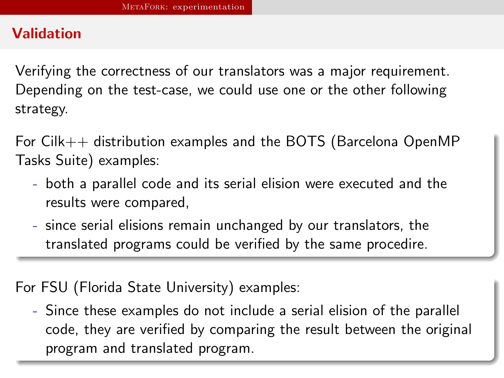# Validation

Verifying the correctness of our translators was a major requirement. Depending on the test-case, we could use one or the other following strategy.

For Cilk++ distribution examples and the BOTS (Barcelona OpenMP Tasks Suite) examples:

- both a parallel code and its serial elision were executed and the results were compared,
- since serial elisions remain unchanged by our translators, the translated programs could be verified by the same procedire.

For FSU (Florida State University) examples:

<span id="page-21-0"></span>- Since these examples do not include a serial elision of the parallel code, they are verified by comparing the result between the original program and translated program.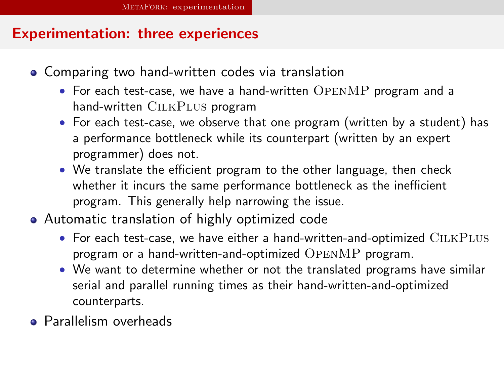### Experimentation: three experiences

- Comparing two hand-written codes via translation
	- For each test-case, we have a hand-written OPENMP program and a hand-written CILKPLUS program
	- For each test-case, we observe that one program (written by a student) has a performance bottleneck while its counterpart (written by an expert programmer) does not.
	- We translate the efficient program to the other language, then check whether it incurs the same performance bottleneck as the inefficient program. This generally help narrowing the issue.
- Automatic translation of highly optimized code
	- For each test-case, we have either a hand-written-and-optimized CILKPLUS program or a hand-written-and-optimized OpenMP program.
	- We want to determine whether or not the translated programs have similar serial and parallel running times as their hand-written-and-optimized counterparts.
- <span id="page-22-0"></span>**•** Parallelism overheads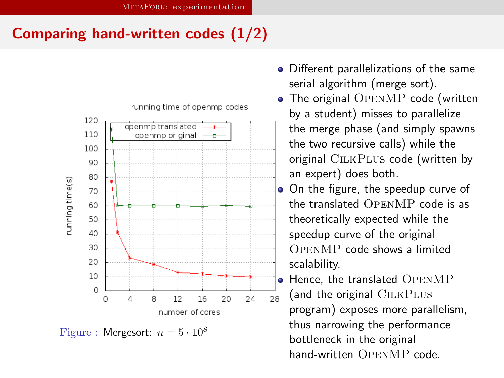# Comparing hand-written codes (1/2)



<span id="page-23-0"></span>Figure : Mergesort:  $n = 5 \cdot 10^8$ 

- Different parallelizations of the same serial algorithm (merge sort).
- The original OPENMP code (written by a student) misses to parallelize the merge phase (and simply spawns the two recursive calls) while the original CILKPLUS code (written by an expert) does both.
- On the figure, the speedup curve of the translated OpenMP code is as theoretically expected while the speedup curve of the original OpenMP code shows a limited scalability.
	- Hence, the translated OpenMP (and the original CILKPLUS program) exposes more parallelism, thus narrowing the performance bottleneck in the original hand-written OpenMP code.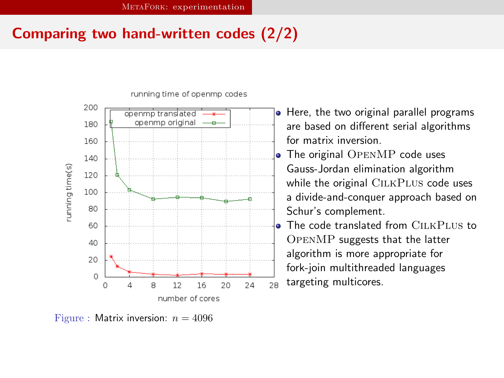# Comparing two hand-written codes (2/2)



running time of openmp codes

<span id="page-24-0"></span>Figure : Matrix inversion:  $n = 4096$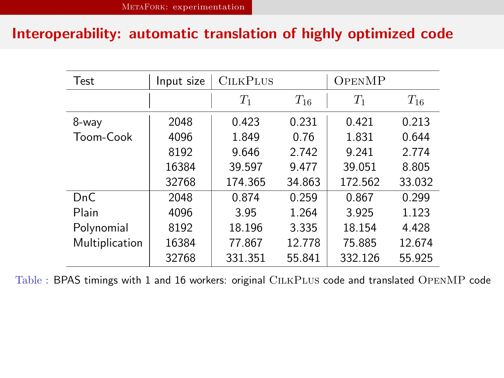### Interoperability: automatic translation of highly optimized code

| Test             | Input size | <b>CILKPLUS</b> |          | OPENMP  |          |
|------------------|------------|-----------------|----------|---------|----------|
|                  |            | $T_1$           | $T_{16}$ | $T_1$   | $T_{16}$ |
| 8-way            | 2048       | 0.423           | 0.231    | 0.421   | 0.213    |
| Toom-Cook        | 4096       | 1.849           | 0.76     | 1.831   | 0.644    |
|                  | 8192       | 9.646           | 2.742    | 9.241   | 2.774    |
|                  | 16384      | 39.597          | 9.477    | 39.051  | 8.805    |
|                  | 32768      | 174.365         | 34.863   | 172.562 | 33.032   |
| D <sub>n</sub> C | 2048       | 0.874           | 0.259    | 0.867   | 0.299    |
| Plain            | 4096       | 3.95            | 1.264    | 3.925   | 1.123    |
| Polynomial       | 8192       | 18.196          | 3.335    | 18.154  | 4.428    |
| Multiplication   | 16384      | 77.867          | 12.778   | 75.885  | 12.674   |
|                  | 32768      | 331.351         | 55.841   | 332.126 | 55.925   |

<span id="page-25-0"></span>Table : BPAS timings with 1 and 16 workers: original CilkPlus code and translated OpenMP code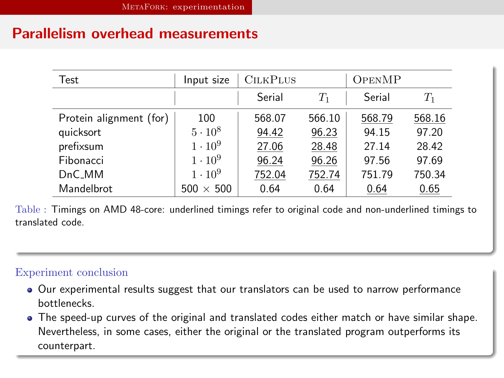### Parallelism overhead measurements

| Test                    | Input size       | <b>CILKPLUS</b> |        | OPENMP |             |
|-------------------------|------------------|-----------------|--------|--------|-------------|
|                         |                  | Serial          | $T_1$  | Serial | $T_{\rm 1}$ |
| Protein alignment (for) | 100              | 568.07          | 566.10 | 568.79 | 568.16      |
| quicksort               | $5 \cdot 10^8$   | 94.42           | 96.23  | 94.15  | 97.20       |
| prefixsum               | $1 \cdot 10^9$   | 27.06           | 28.48  | 27.14  | 28.42       |
| Fibonacci               | $1 \cdot 10^9$   | 96.24           | 96.26  | 97.56  | 97.69       |
| $DnC_MM$                | $1 \cdot 10^9$   | 752.04          | 752.74 | 751.79 | 750.34      |
| Mandelbrot              | $500 \times 500$ | 0.64            | 0.64   | 0.64   | 0.65        |

Table : Timings on AMD 48-core: underlined timings refer to original code and non-underlined timings to translated code.

#### Experiment conclusion

- Our experimental results suggest that our translators can be used to narrow performance bottlenecks.
- <span id="page-26-0"></span>The speed-up curves of the original and translated codes either match or have similar shape. Nevertheless, in some cases, either the original or the translated program outperforms its counterpart.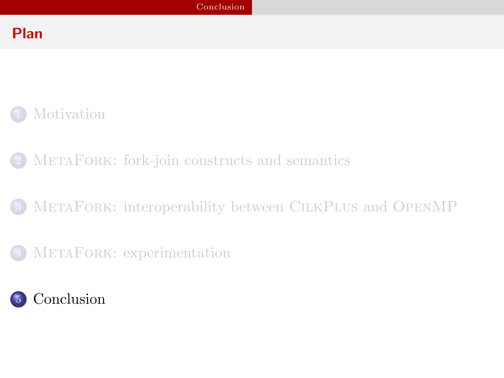# Plan



- METAFORK[: fork-join constructs and semantics](#page-6-0)
- METAFORK[: interoperability between](#page-15-0) CILKPLUS and OPENMP
- METAFORK[: experimentation](#page-19-0)

<span id="page-27-0"></span>